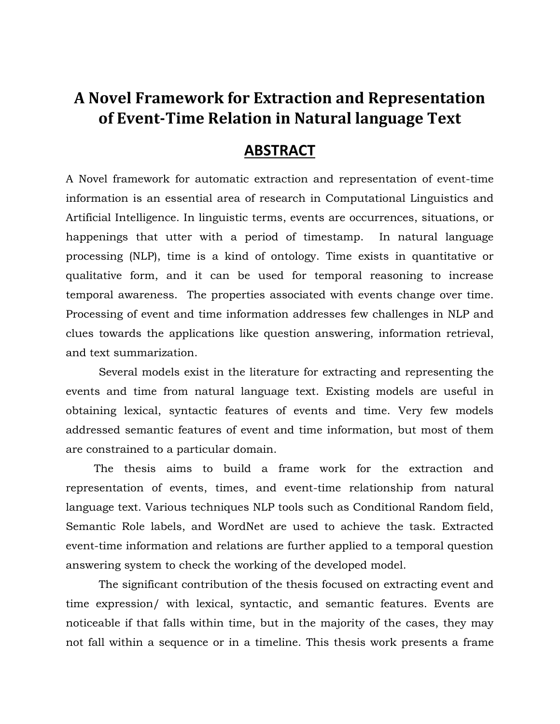## **A Novel Framework for Extraction and Representation of Event-Time Relation in Natural language Text**

## **ABSTRACT**

A Novel framework for automatic extraction and representation of event-time information is an essential area of research in Computational Linguistics and Artificial Intelligence. In linguistic terms, events are occurrences, situations, or happenings that utter with a period of timestamp. In natural language processing (NLP), time is a kind of ontology. Time exists in quantitative or qualitative form, and it can be used for temporal reasoning to increase temporal awareness. The properties associated with events change over time. Processing of event and time information addresses few challenges in NLP and clues towards the applications like question answering, information retrieval, and text summarization.

Several models exist in the literature for extracting and representing the events and time from natural language text. Existing models are useful in obtaining lexical, syntactic features of events and time. Very few models addressed semantic features of event and time information, but most of them are constrained to a particular domain.

 The thesis aims to build a frame work for the extraction and representation of events, times, and event-time relationship from natural language text. Various techniques NLP tools such as Conditional Random field, Semantic Role labels, and WordNet are used to achieve the task. Extracted event-time information and relations are further applied to a temporal question answering system to check the working of the developed model.

The significant contribution of the thesis focused on extracting event and time expression/ with lexical, syntactic, and semantic features. Events are noticeable if that falls within time, but in the majority of the cases, they may not fall within a sequence or in a timeline. This thesis work presents a frame